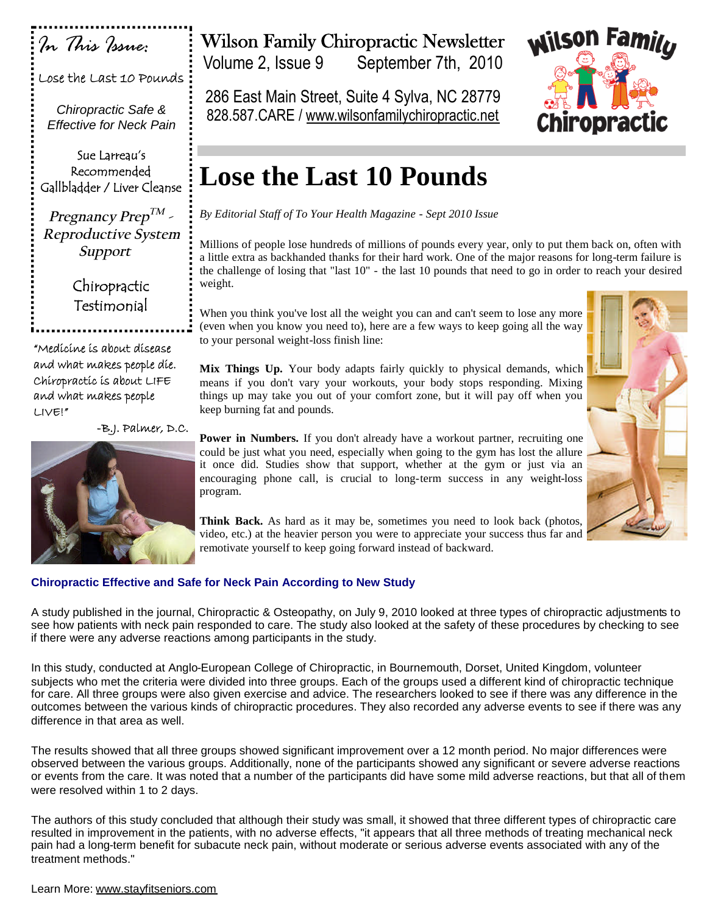*In This Issue:*

Lose the Last 10 Pounds

*Chiropractic Safe & Effective for Neck Pain*

Sue Larreau's Recommended Gallbladder / Liver Cleanse

**Pregnancy Prep TM - Reproductive System Support**

> Chiropractic Testimonial

"Medicine is about disease and what makes people die. Chiropractic is about LIFE and what makes people LIVE!"

-B.J. Palmer, D.C.



### Wilson Family Chiropractic Newsletter

Volume 2, Issue 9 September 7th, 2010

286 East Main Street, Suite 4 Sylva, NC 28779 828.587.CARE / www.wilsonfamilychiropractic.net



# **Lose the Last 10 Pounds**

*By Editorial Staff of To Your Health Magazine - Sept 2010 Issue*

Millions of people lose hundreds of millions of pounds every year, only to put them back on, often with a little extra as backhanded thanks for their hard work. One of the major reasons for long-term failure is the challenge of losing that "last 10" - the last 10 pounds that need to go in order to reach your desired weight.

When you think you've lost all the weight you can and can't seem to lose any more (even when you know you need to), here are a few ways to keep going all the way to your personal weight-loss finish line:

**Mix Things Up.** Your body adapts fairly quickly to physical demands, which means if you don't vary your workouts, your body stops responding. Mixing things up may take you out of your comfort zone, but it will pay off when you keep burning fat and pounds.

**Power in Numbers.** If you don't already have a workout partner, recruiting one could be just what you need, especially when going to the gym has lost the allure it once did. Studies show that support, whether at the gym or just via an encouraging phone call, is crucial to long-term success in any weight-loss program.

Think Back. As hard as it may be, sometimes you need to look back (photos, video, etc.) at the heavier person you were to appreciate your success thus far and remotivate yourself to keep going forward instead of backward.

#### **Chiropractic Effective and Safe for Neck Pain According to New Study**

A study published in the journal, Chiropractic & Osteopathy, on July 9, 2010 looked at three types of chiropractic adjustments to see how patients with neck pain responded to care. The study also looked at the safety of these procedures by checking to see if there were any adverse reactions among participants in the study.

In this study, conducted at Anglo-European College of Chiropractic, in Bournemouth, Dorset, United Kingdom, volunteer subjects who met the criteria were divided into three groups. Each of the groups used a different kind of chiropractic technique for care. All three groups were also given exercise and advice. The researchers looked to see if there was any difference in the outcomes between the various kinds of chiropractic procedures. They also recorded any adverse events to see if there was any difference in that area as well.

The results showed that all three groups showed significant improvement over a 12 month period. No major differences were observed between the various groups. Additionally, none of the participants showed any significant or severe adverse reactions or events from the care. It was noted that a number of the participants did have some mild adverse reactions, but that all of them were resolved within 1 to 2 days.

The authors of this study concluded that although their study was small, it showed that three different types of chiropractic care resulted in improvement in the patients, with no adverse effects, "it appears that all three methods of treating mechanical neck pain had a long-term benefit for subacute neck pain, without moderate or serious adverse events associated with any of the treatment methods."